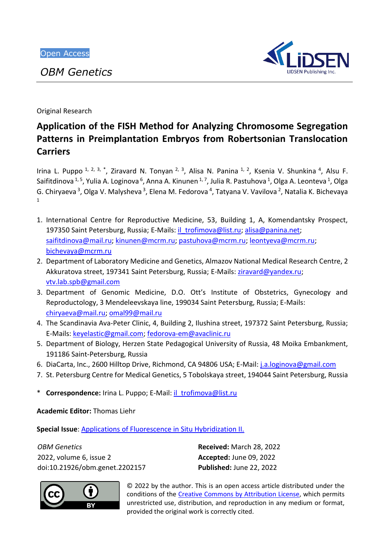*OBM Genetics*



Original Research

# **Application of the FISH Method for Analyzing Chromosome Segregation Patterns in Preimplantation Embryos from Robertsonian Translocation Carriers**

Irina L. Puppo <sup>1, 2, 3, \*</sup>, Ziravard N. Tonyan <sup>2, 3</sup>, Alisa N. Panina <sup>1, 2</sup>, Ksenia V. Shunkina <sup>4</sup>, Alsu F. Saifitdinova <sup>1, 5</sup>, Yulia A. Loginova <sup>6</sup>, Anna A. Kinunen <sup>1, 7</sup>, Julia R. Pastuhova <sup>1</sup>, Olga A. Leonteva <sup>1</sup>, Olga G. Chiryaeva<sup>3</sup>, Olga V. Malysheva<sup>3</sup>, Elena M. Fedorova<sup>4</sup>, Tatyana V. Vavilova<sup>2</sup>, Natalia K. Bichevaya 1

- 1. International Centre for Reproductive Medicine, 53, Building 1, A, Komendantsky Prospect, 197350 Saint Petersburg, Russia; E-Mails: [il\\_trofimova@list.ru;](mailto:il_trofimova@list.ru) [alisa@panina.net;](mailto:alisa@panina.net) [saifitdinova@mail.ru;](https://e.mail.ru/compose/?mailto=mailto%3asaifitdinova@mail.ru) [kinunen@mcrm.ru;](mailto:kinunen@mcrm.ru) [pastuhova@mcrm.ru;](mailto:pastuhova@mcrm.ru) [leontyeva@mcrm.ru;](mailto:leontyeva@mcrm.ru) [bichevaya@mcrm.ru](mailto:bichevaya@mcrm.ru)
- 2. Department of Laboratory Medicine and Genetics, Almazov National Medical Research Centre, 2 Akkuratova street, 197341 Saint Petersburg, Russia; E-Mails: [ziravard@yandex.ru;](https://e.mail.ru/compose/?mailto=mailto%3aziravard@yandex.ru) [vtv.lab.spb@gmail.com](https://e.mail.ru/compose/?mailto=mailto%3avtv.lab.spb@gmail.com)
- 3. Department of Genomic Medicine, D.O. Ott's Institute of Obstetrics, Gynecology and Reproductology, 3 Mendeleevskaya line, 199034 Saint Petersburg, Russia; E-Mails: [chiryaeva@mail.ru;](https://e.mail.ru/compose/?mailto=mailto%3achiryaeva@mail.ru) [omal99@mail.ru](https://e.mail.ru/compose/?mailto=mailto%3aomal99@mail.ru)
- 4. The Scandinavia Ava-Peter Clinic, 4, Building 2, Ilushina street, 197372 Saint Petersburg, Russia; E-Mails: [keyelastic@gmail.com;](https://e.mail.ru/compose/?mailto=mailto%3akeyelastic@gmail.com) [fedorova-em@avaclinic.ru](https://e.mail.ru/compose/?mailto=mailto%3afedorova%2dem@avaclinic.ru)
- 5. Department of Biology, Herzen State Pedagogical University of Russia, 48 Moika Embankment, 191186 Saint-Petersburg, Russia
- 6. DiaCarta, Inc., 2600 Hilltop Drive, Richmond, CA 94806 USA; E-Mail: [j.a.loginova@gmail.com](https://e.mail.ru/compose/?mailto=mailto%3aj.a.loginova@gmail.com)
- 7. St. Petersburg Centre for Medical Genetics, 5 Tobolskaya street, 194044 Saint Petersburg, Russia
- \* **Correspondence:** Irina L. Puppo; E-Mail[: il\\_trofimova@list.ru](mailto:il_trofimova@list.ru)

**Academic Editor:** Thomas Liehr

**Special Issue**: [Applications of Fluorescence in Situ Hybridization II.](https://www.lidsen.com/journals/genetics/genetics-special-issues/fluorescence-situ-hybridization)

*OBM Genetics* 2022, volume 6, issue 2 doi:10.21926/obm.genet.2202157 **Received:** March 28, 2022 **Accepted:** June 09, 2022 **Published:** June 22, 2022



© 2022 by the author. This is an open access article distributed under the conditions of the [Creative Commons by Attribution License,](http://creativecommons.org/licenses/by/4.0/) which permits unrestricted use, distribution, and reproduction in any medium or format, provided the original work is correctly cited.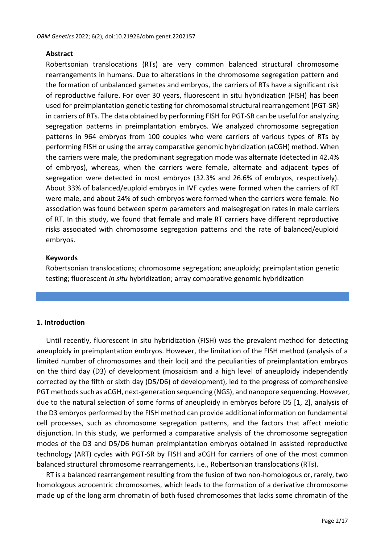## **Abstract**

Robertsonian translocations (RTs) are very common balanced structural chromosome rearrangements in humans. Due to alterations in the chromosome segregation pattern and the formation of unbalanced gametes and embryos, the carriers of RTs have a significant risk of reproductive failure. For over 30 years, fluorescent in situ hybridization (FISH) has been used for preimplantation genetic testing for chromosomal structural rearrangement (PGT-SR) in carriers of RTs. The data obtained by performing FISH for PGT-SR can be useful for analyzing segregation patterns in preimplantation embryos. We analyzed chromosome segregation patterns in 964 embryos from 100 couples who were carriers of various types of RTs by performing FISH or using the array comparative genomic hybridization (aCGH) method. When the carriers were male, the predominant segregation mode was alternate (detected in 42.4% of embryos), whereas, when the carriers were female, alternate and adjacent types of segregation were detected in most embryos (32.3% and 26.6% of embryos, respectively). About 33% of balanced/euploid embryos in IVF cycles were formed when the carriers of RT were male, and about 24% of such embryos were formed when the carriers were female. No association was found between sperm parameters and malsegregation rates in male carriers of RT. In this study, we found that female and male RT carriers have different reproductive risks associated with chromosome segregation patterns and the rate of balanced/euploid embryos.

#### **Keywords**

Robertsonian translocations; chromosome segregation; aneuploidy; preimplantation genetic testing; fluorescent *in situ* hybridization; array comparative genomic hybridization

#### **1. Introduction**

Until recently, fluorescent in situ hybridization (FISH) was the prevalent method for detecting aneuploidy in preimplantation embryos. However, the limitation of the FISH method (analysis of a limited number of chromosomes and their loci) and the peculiarities of preimplantation embryos on the third day (D3) of development (mosaicism and a high level of aneuploidy independently corrected by the fifth or sixth day (D5/D6) of development), led to the progress of comprehensive PGT methods such as aCGH, next-generation sequencing (NGS), and nanopore sequencing. However, due to the natural selection of some forms of aneuploidy in embryos before D5 [1, 2], analysis of the D3 embryos performed by the FISH method can provide additional information on fundamental cell processes, such as chromosome segregation patterns, and the factors that affect meiotic disjunction. In this study, we performed a comparative analysis of the chromosome segregation modes of the D3 and D5/D6 human preimplantation embryos obtained in assisted reproductive technology (ART) cycles with PGT-SR by FISH and aCGH for carriers of one of the most common balanced structural chromosome rearrangements, i.e., Robertsonian translocations (RTs).

RT is a balanced rearrangement resulting from the fusion of two non-homologous or, rarely, two homologous acrocentric chromosomes, which leads to the formation of a derivative chromosome made up of the long arm chromatin of both fused chromosomes that lacks some chromatin of the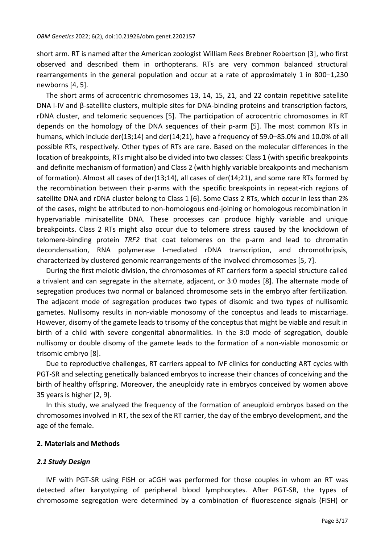short arm. RT is named after the American zoologist William Rees Brebner Robertson [3], who first observed and described them in orthopterans. RTs are very common balanced structural rearrangements in the general population and occur at a rate of approximately 1 in 800–1,230 newborns [4, 5].

The short arms of acrocentric chromosomes 13, 14, 15, 21, and 22 contain repetitive satellite DNA I-IV and β-satellite clusters, multiple sites for DNA-binding proteins and transcription factors, rDNA cluster, and telomeric sequences [5]. The participation of acrocentric chromosomes in RT depends on the homology of the DNA sequences of their p-arm [5]. The most common RTs in humans, which include der(13;14) and der(14;21), have a frequency of 59.0–85.0% and 10.0% of all possible RTs, respectively. Other types of RTs are rare. Based on the molecular differences in the location of breakpoints, RTs might also be divided into two classes: Class 1 (with specific breakpoints and definite mechanism of formation) and Class 2 (with highly variable breakpoints and mechanism of formation). Almost all cases of der(13;14), all cases of der(14;21), and some rare RTs formed by the recombination between their p-arms with the specific breakpoints in repeat-rich regions of satellite DNA and rDNA cluster belong to Class 1 [6]. Some Class 2 RTs, which occur in less than 2% of the cases, might be attributed to non-homologous end-joining or homologous recombination in hypervariable minisatellite DNA. These processes can produce highly variable and unique breakpoints. Class 2 RTs might also occur due to telomere stress caused by the knockdown of telomere-binding protein *TRF2* that coat telomeres on the p-arm and lead to chromatin decondensation, RNA polymerase I-mediated rDNA transcription, and chromothripsis, characterized by clustered genomic rearrangements of the involved chromosomes [5, 7].

During the first meiotic division, the chromosomes of RT carriers form a special structure called a trivalent and can segregate in the alternate, adjacent, or 3:0 modes [8]. The alternate mode of segregation produces two normal or balanced chromosome sets in the embryo after fertilization. The adjacent mode of segregation produces two types of disomic and two types of nullisomic gametes. Nullisomy results in non-viable monosomy of the conceptus and leads to miscarriage. However, disomy of the gamete leads to trisomy of the conceptus that might be viable and result in birth of a child with severe congenital abnormalities. In the 3:0 mode of segregation, double nullisomy or double disomy of the gamete leads to the formation of a non-viable monosomic or trisomic embryo [8].

Due to reproductive challenges, RT carriers appeal to IVF clinics for conducting ART cycles with PGT-SR and selecting genetically balanced embryos to increase their chances of conceiving and the birth of healthy offspring. Moreover, the aneuploidy rate in embryos conceived by women above 35 years is higher [2, 9].

In this study, we analyzed the frequency of the formation of aneuploid embryos based on the chromosomes involved in RT, the sex of the RT carrier, the day of the embryo development, and the age of the female.

#### **2. Materials and Methods**

#### *2.1 Study Design*

IVF with PGT-SR using FISH or aCGH was performed for those couples in whom an RT was detected after karyotyping of peripheral blood lymphocytes. After PGT-SR, the types of chromosome segregation were determined by a combination of fluorescence signals (FISH) or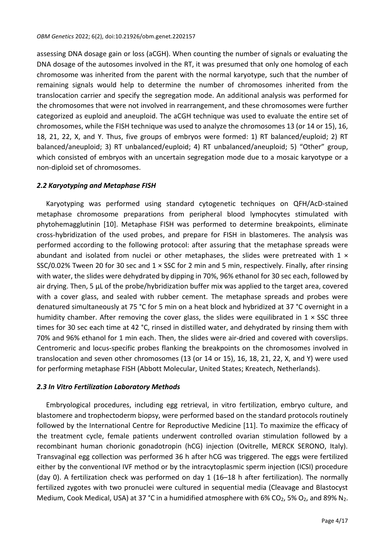assessing DNA dosage gain or loss (aCGH). When counting the number of signals or evaluating the DNA dosage of the autosomes involved in the RT, it was presumed that only one homolog of each chromosome was inherited from the parent with the normal karyotype, such that the number of remaining signals would help to determine the number of chromosomes inherited from the translocation carrier and specify the segregation mode. An additional analysis was performed for the chromosomes that were not involved in rearrangement, and these chromosomes were further categorized as euploid and aneuploid. The aCGH technique was used to evaluate the entire set of chromosomes, while the FISH technique was used to analyze the chromosomes 13 (or 14 or 15), 16, 18, 21, 22, Х, and Y. Thus, five groups of embryos were formed: 1) RT balanced/euploid; 2) RT balanced/aneuploid; 3) RT unbalanced/euploid; 4) RT unbalanced/aneuploid; 5) "Other" group, which consisted of embryos with an uncertain segregation mode due to a mosaic karyotype or a non-diploid set of chromosomes.

#### *2.2 Karyotyping and Metaphase FISH*

Karyotyping was performed using standard cytogenetic techniques on QFH/AcD-stained metaphase chromosome preparations from peripheral blood lymphocytes stimulated with phytohemagglutinin [10]. Metaphase FISH was performed to determine breakpoints, eliminate cross-hybridization of the used probes, and prepare for FISH in blastomeres. The analysis was performed according to the following protocol: after assuring that the metaphase spreads were abundant and isolated from nuclei or other metaphases, the slides were pretreated with  $1 \times$ SSC/0.02% Tween 20 for 30 sec and 1 × SSC for 2 min and 5 min, respectively. Finally, after rinsing with water, the slides were dehydrated by dipping in 70%, 96% ethanol for 30 sec each, followed by air drying. Then, 5 µL of the probe/hybridization buffer mix was applied to the target area, covered with a cover glass, and sealed with rubber cement. The metaphase spreads and probes were denatured simultaneously at 75 °C for 5 min on a heat block and hybridized at 37 °C overnight in a humidity chamber. After removing the cover glass, the slides were equilibrated in  $1 \times$  SSC three times for 30 sec each time at 42 °C, rinsed in distilled water, and dehydrated by rinsing them with 70% and 96% ethanol for 1 min each. Then, the slides were air-dried and covered with coverslips. Centromeric and locus-specific probes flanking the breakpoints on the chromosomes involved in translocation and seven other chromosomes (13 (or 14 or 15), 16, 18, 21, 22, Х, and Y) were used for performing metaphase FISH (Abbott Molecular, United States; Kreatech, Netherlands).

## *2.3 In Vitro Fertilization Laboratory Methods*

Embryological procedures, including egg retrieval, in vitro fertilization, embryo culture, and blastomere and trophectoderm biopsy, were performed based on the standard protocols routinely followed by the International Centre for Reproductive Medicine [11]. To maximize the efficacy of the treatment cycle, female patients underwent controlled ovarian stimulation followed by a recombinant human chorionic gonadotropin (hCG) injection (Ovitrelle, MERCK SERONO, Italy). Transvaginal egg collection was performed 36 h after hCG was triggered. The eggs were fertilized either by the conventional IVF method or by the intracytoplasmic sperm injection (ICSI) procedure (day 0). A fertilization check was performed on day 1 (16–18 h after fertilization). The normally fertilized zygotes with two pronuclei were cultured in sequential media (Cleavage and Blastocyst Medium, Cook Medical, USA) at 37 °C in a humidified atmosphere with 6% CO<sub>2</sub>, 5% O<sub>2</sub>, and 89% N<sub>2</sub>.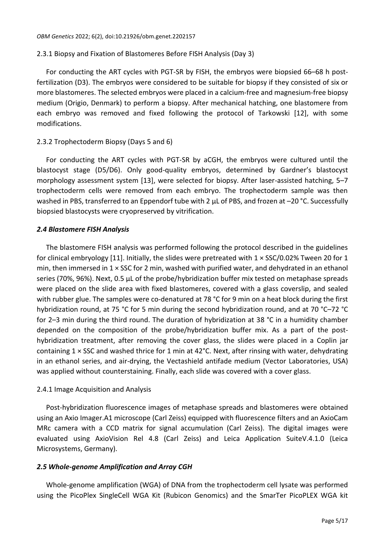## 2.3.1 Biopsy and Fixation of Blastomeres Before FISH Analysis (Day 3)

For conducting the ART cycles with PGT-SR by FISH, the embryos were biopsied 66–68 h postfertilization (D3). The embryos were considered to be suitable for biopsy if they consisted of six or more blastomeres. The selected embryos were placed in a calcium-free and magnesium-free biopsy medium (Origio, Denmark) to perform a biopsy. After mechanical hatching, one blastomere from each embryo was removed and fixed following the protocol of Tarkowski [12], with some modifications.

## 2.3.2 Trophectoderm Biopsy (Days 5 and 6)

For conducting the ART cycles with PGT-SR by aCGH, the embryos were cultured until the blastocyst stage (D5/D6). Only good-quality embryos, determined by Gardner's blastocyst morphology assessment system [13], were selected for biopsy. After laser-assisted hatching, 5–7 trophectoderm cells were removed from each embryo. The trophectoderm sample was then washed in PBS, transferred to an Eppendorf tube with 2 µL of PBS, and frozen at -20 °C. Successfully biopsied blastocysts were cryopreserved by vitrification.

## *2.4 Blastomere FISH Analysis*

The blastomere FISH analysis was performed following the protocol described in the guidelines for clinical embryology [11]. Initially, the slides were pretreated with  $1 \times$  SSC/0.02% Tween 20 for 1 min, then immersed in  $1 \times$  SSC for 2 min, washed with purified water, and dehydrated in an ethanol series (70%, 96%). Next, 0.5 µL of the probe/hybridization buffer mix tested on metaphase spreads were placed on the slide area with fixed blastomeres, covered with a glass coverslip, and sealed with rubber glue. The samples were co-denatured at 78 °C for 9 min on a heat block during the first hybridization round, at 75 °C for 5 min during the second hybridization round, and at 70 °C–72 °C for 2–3 min during the third round. The duration of hybridization at 38 °C in a humidity chamber depended on the composition of the probe/hybridization buffer mix. As a part of the posthybridization treatment, after removing the cover glass, the slides were placed in a Coplin jar containing 1 × SSC and washed thrice for 1 min at 42°С. Next, after rinsing with water, dehydrating in an ethanol series, and air-drying, the Vectashield antifade medium (Vector Laboratories, USA) was applied without counterstaining. Finally, each slide was covered with a cover glass.

## 2.4.1 Image Acquisition and Analysis

Post-hybridization fluorescence images of metaphase spreads and blastomeres were obtained using an Axio Imager.A1 microscope (Carl Zeiss) equipped with fluorescence filters and an AxioCam MRc camera with a CCD matrix for signal accumulation (Carl Zeiss). The digital images were evaluated using AxioVision Rel 4.8 (Carl Zeiss) and Leica Application SuiteV.4.1.0 (Leica Microsystems, Germany).

## *2.5 Whole-genome Amplification and Array CGH*

Whole-genome amplification (WGA) of DNA from the trophectoderm cell lysate was performed using the PicoPlex SingleCell WGA Kit (Rubicon Genomics) and the SmarTer PicoPLEX WGA kit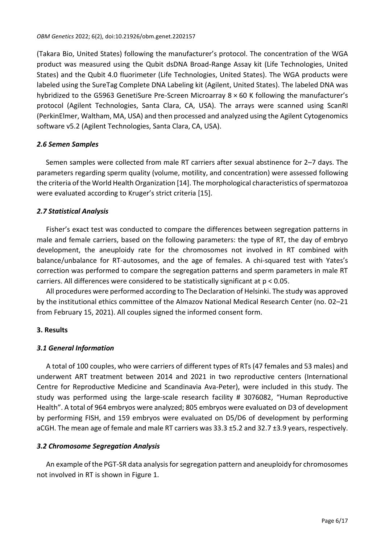(Takara Bio, United States) following the manufacturer's protocol. The concentration of the WGA product was measured using the Qubit dsDNA Broad-Range Assay kit (Life Technologies, United States) and the Qubit 4.0 fluorimeter (Life Technologies, United States). The WGA products were labeled using the SureTag Complete DNA Labeling kit (Agilent, United States). The labeled DNA was hybridized to the G5963 GenetiSure Pre-Screen Microarray 8 × 60 K following the manufacturer's protocol (Agilent Technologies, Santa Clara, CA, USA). The arrays were scanned using ScanRI (PerkinElmer, Waltham, MA, USA) and then processed and analyzed using the Agilent Cytogenomics software v5.2 (Agilent Technologies, Santa Clara, CA, USA).

# *2.6 Semen Samples*

Semen samples were collected from male RT carriers after sexual abstinence for 2–7 days. The parameters regarding sperm quality (volume, motility, and concentration) were assessed following the criteria of the World Health Organization [14]. The morphological characteristics of spermatozoa were evaluated according to Kruger's strict criteria [15].

## *2.7 Statistical Analysis*

Fisher's exact test was conducted to compare the differences between segregation patterns in male and female carriers, based on the following parameters: the type of RT, the day of embryo development, the aneuploidy rate for the chromosomes not involved in RT combined with balance/unbalance for RT-autosomes, and the age of females. A chi-squared test with Yates's correction was performed to compare the segregation patterns and sperm parameters in male RT carriers. All differences were considered to be statistically significant at p < 0.05.

All procedures were performed according to The Declaration of Helsinki. The study was approved by the institutional ethics committee of the Almazov National Medical Research Center (no. 02–21 from February 15, 2021). All couples signed the informed consent form.

# **3. Results**

# *3.1 General Information*

A total of 100 couples, who were carriers of different types of RTs (47 females and 53 males) and underwent ART treatment between 2014 and 2021 in two reproductive centers (International Centre for Reproductive Medicine and Scandinavia Ava-Peter), were included in this study. The study was performed using the large-scale research facility # 3076082, "Human Reproductive Health". A total of 964 embryos were analyzed; 805 embryos were evaluated on D3 of development by performing FISH, and 159 embryos were evaluated on D5/D6 of development by performing aCGH. The mean age of female and male RT carriers was 33.3 ±5.2 and 32.7 ±3.9 years, respectively.

## *3.2 Chromosome Segregation Analysis*

An example of the PGT-SR data analysis for segregation pattern and aneuploidy for chromosomes not involved in RT is shown in Figure 1.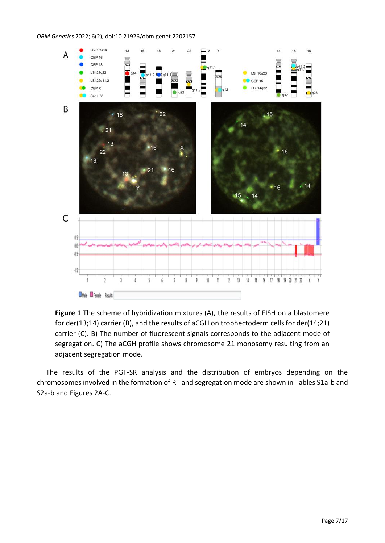#### *OBM Genetics* 2022; 6(2), doi:10.21926/obm.genet.2202157



**Figure 1** The scheme of hybridization mixtures (A), the results of FISH on a blastomere for der(13;14) carrier (B), and the results of aCGH on trophectoderm cells for der(14;21) carrier (C). B) The number of fluorescent signals corresponds to the adjacent mode of segregation. C) The aCGH profile shows chromosome 21 monosomy resulting from an adjacent segregation mode.

The results of the PGT-SR analysis and the distribution of embryos depending on the chromosomes involved in the formation of RT and segregation mode are shown in Tables S1a-b and S2a-b and Figures 2A-C.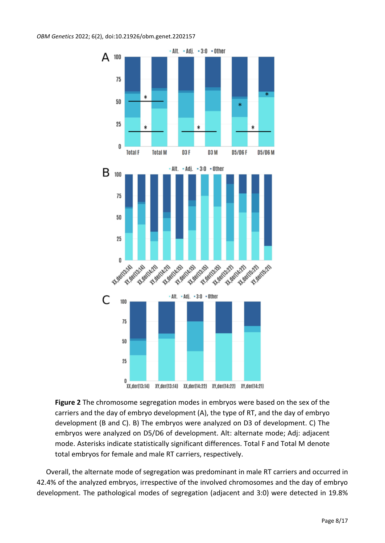*OBM Genetics* 2022; 6(2), doi:10.21926/obm.genet.2202157



**Figure 2** The chromosome segregation modes in embryos were based on the sex of the carriers and the day of embryo development (A), the type of RT, and the day of embryo development (B and C). B) The embryos were analyzed on D3 of development. C) The embryos were analyzed on D5/D6 of development. Alt: alternate mode; Adj: adjacent mode. Asterisks indicate statistically significant differences. Total F and Total M denote total embryos for female and male RT carriers, respectively.

Overall, the alternate mode of segregation was predominant in male RT carriers and occurred in 42.4% of the analyzed embryos, irrespective of the involved chromosomes and the day of embryo development. The pathological modes of segregation (adjacent and 3:0) were detected in 19.8%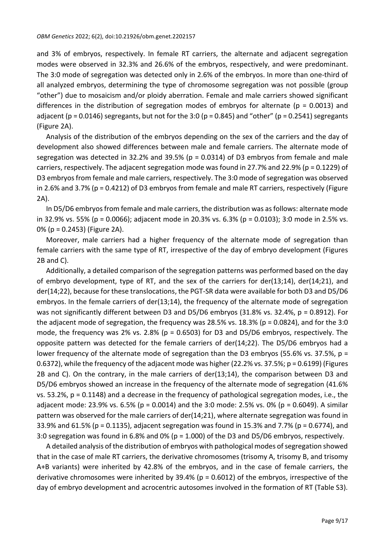and 3% of embryos, respectively. In female RT carriers, the alternate and adjacent segregation modes were observed in 32.3% and 26.6% of the embryos, respectively, and were predominant. The 3:0 mode of segregation was detected only in 2.6% of the embryos. In more than one-third of all analyzed embryos, determining the type of chromosome segregation was not possible (group "other") due to mosaicism and/or ploidy aberration. Female and male carriers showed significant differences in the distribution of segregation modes of embryos for alternate ( $p = 0.0013$ ) and adjacent (p = 0.0146) segregants, but not for the 3:0 (p = 0.845) and "other" (p = 0.2541) segregants (Figure 2A).

Analysis of the distribution of the embryos depending on the sex of the carriers and the day of development also showed differences between male and female carriers. The alternate mode of segregation was detected in 32.2% and 39.5% ( $p = 0.0314$ ) of D3 embryos from female and male carriers, respectively. The adjacent segregation mode was found in 27.7% and 22.9% (p = 0.1229) of D3 embryos from female and male carriers, respectively. The 3:0 mode of segregation was observed in 2.6% and 3.7% (p = 0.4212) of D3 embryos from female and male RT carriers, respectively (Figure 2A).

In D5/D6 embryos from female and male carriers, the distribution was as follows: alternate mode in 32.9% vs. 55% (p = 0.0066); adjacent mode in 20.3% vs. 6.3% (p = 0.0103); 3:0 mode in 2.5% vs. 0% (p = 0.2453) (Figure 2A).

Moreover, male carriers had a higher frequency of the alternate mode of segregation than female carriers with the same type of RT, irrespective of the day of embryo development (Figures 2B and C).

Additionally, a detailed comparison of the segregation patterns was performed based on the day of embryo development, type of RT, and the sex of the carriers for der(13;14), der(14;21), and der(14;22), because for these translocations, the PGT-SR data were available for both D3 and D5/D6 embryos. In the female carriers of der(13;14), the frequency of the alternate mode of segregation was not significantly different between D3 and D5/D6 embryos (31.8% vs. 32.4%, p = 0.8912). For the adjacent mode of segregation, the frequency was 28.5% vs. 18.3% (p = 0.0824), and for the 3:0 mode, the frequency was 2% vs. 2.8% ( $p = 0.6503$ ) for D3 and D5/D6 embryos, respectively. The opposite pattern was detected for the female carriers of der(14;22). The D5/D6 embryos had a lower frequency of the alternate mode of segregation than the D3 embryos (55.6% vs. 37.5%, p = 0.6372), while the frequency of the adjacent mode was higher (22.2% vs. 37.5%; p = 0.6199) (Figures 2B and C). On the contrary, in the male carriers of der(13;14), the comparison between D3 and D5/D6 embryos showed an increase in the frequency of the alternate mode of segregation (41.6% vs. 53.2%, p = 0.1148) and a decrease in the frequency of pathological segregation modes, i.e., the adjacent mode: 23.9% vs. 6.5% (p = 0.0014) and the 3:0 mode: 2.5% vs. 0% (p = 0.6049). A similar pattern was observed for the male carriers of der(14;21), where alternate segregation was found in 33.9% and 61.5% (p = 0.1135), adjacent segregation was found in 15.3% and 7.7% (p = 0.6774), and 3:0 segregation was found in 6.8% and 0% (p = 1.000) of the D3 and D5/D6 embryos, respectively.

A detailed analysis of the distribution of embryos with pathological modes of segregation showed that in the case of male RT carriers, the derivative chromosomes (trisomy A, trisomy B, and trisomy A+B variants) were inherited by 42.8% of the embryos, and in the case of female carriers, the derivative chromosomes were inherited by 39.4% ( $p = 0.6012$ ) of the embryos, irrespective of the day of embryo development and acrocentric autosomes involved in the formation of RT (Table S3).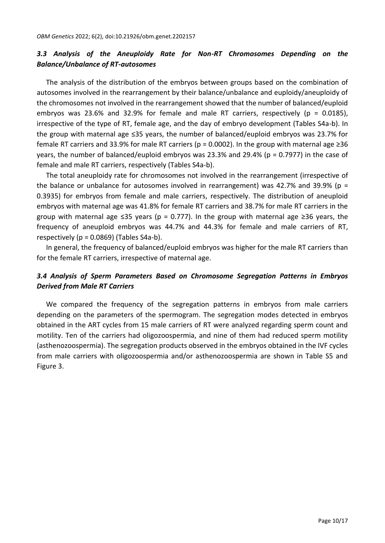# *3.3 Analysis of the Aneuploidy Rate for Non-RT Chromosomes Depending on the Balance/Unbalance of RT-autosomes*

The analysis of the distribution of the embryos between groups based on the combination of autosomes involved in the rearrangement by their balance/unbalance and euploidy/aneuploidy of the chromosomes not involved in the rearrangement showed that the number of balanced/euploid embryos was 23.6% and 32.9% for female and male RT carriers, respectively (p = 0.0185), irrespective of the type of RT, female age, and the day of embryo development (Tables S4a-b). In the group with maternal age ≤35 years, the number of balanced/euploid embryos was 23.7% for female RT carriers and 33.9% for male RT carriers ( $p = 0.0002$ ). In the group with maternal age ≥36 years, the number of balanced/euploid embryos was 23.3% and 29.4% (p = 0.7977) in the case of female and male RT carriers, respectively (Tables S4a-b).

The total aneuploidy rate for chromosomes not involved in the rearrangement (irrespective of the balance or unbalance for autosomes involved in rearrangement) was 42.7% and 39.9% ( $p =$ 0.3935) for embryos from female and male carriers, respectively. The distribution of aneuploid embryos with maternal age was 41.8% for female RT carriers and 38.7% for male RT carriers in the group with maternal age  $\leq 35$  years (p = 0.777). In the group with maternal age  $\geq 36$  years, the frequency of aneuploid embryos was 44.7% and 44.3% for female and male carriers of RT, respectively ( $p = 0.0869$ ) (Tables S4a-b).

In general, the frequency of balanced/euploid embryos was higher for the male RT carriers than for the female RT carriers, irrespective of maternal age.

# *3.4 Analysis of Sperm Parameters Based on Chromosome Segregation Patterns in Embryos Derived from Male RT Carriers*

We compared the frequency of the segregation patterns in embryos from male carriers depending on the parameters of the spermogram. The segregation modes detected in embryos obtained in the ART cycles from 15 male carriers of RT were analyzed regarding sperm count and motility. Ten of the carriers had oligozoospermia, and nine of them had reduced sperm motility (asthenozoospermia). The segregation products observed in the embryos obtained in the IVF cycles from male carriers with oligozoospermia and/or asthenozoospermia are shown in Table S5 and Figure 3.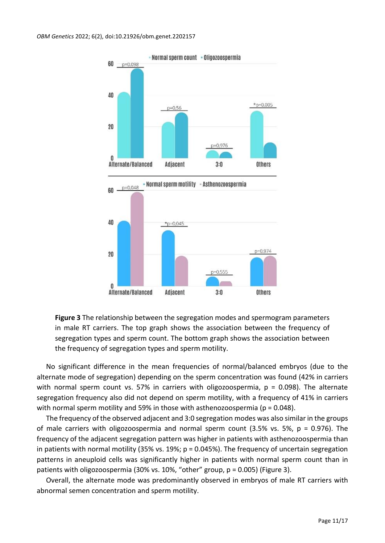

**Figure 3** The relationship between the segregation modes and spermogram parameters in male RT carriers. The top graph shows the association between the frequency of segregation types and sperm count. The bottom graph shows the association between the frequency of segregation types and sperm motility.

No significant difference in the mean frequencies of normal/balanced embryos (due to the alternate mode of segregation) depending on the sperm concentration was found (42% in carriers with normal sperm count vs. 57% in carriers with oligozoospermia,  $p = 0.098$ ). The alternate segregation frequency also did not depend on sperm motility, with a frequency of 41% in carriers with normal sperm motility and 59% in those with asthenozoospermia ( $p = 0.048$ ).

The frequency of the observed adjacent and 3:0 segregation modes was also similar in the groups of male carriers with oligozoospermia and normal sperm count (3.5% vs. 5%, p = 0.976). The frequency of the adjacent segregation pattern was higher in patients with asthenozoospermia than in patients with normal motility (35% vs. 19%; p = 0.045%). The frequency of uncertain segregation patterns in aneuploid cells was significantly higher in patients with normal sperm count than in patients with oligozoospermia (30% vs. 10%, "other" group, p = 0.005) (Figure 3).

Overall, the alternate mode was predominantly observed in embryos of male RT carriers with abnormal semen concentration and sperm motility.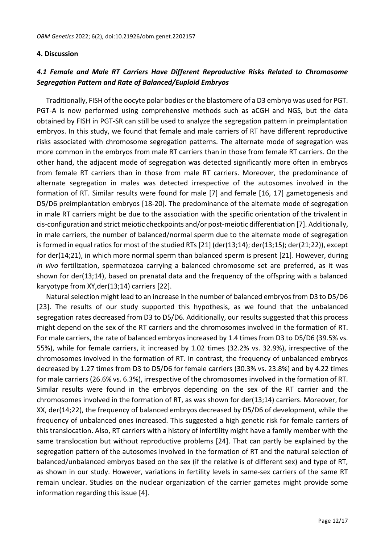#### **4. Discussion**

# *4.1 Female and Male RT Carriers Have Different Reproductive Risks Related to Chromosome Segregation Pattern and Rate of Balanced/Euploid Embryos*

Traditionally, FISH of the oocyte polar bodies or the blastomere of a D3 embryo was used for PGT. PGT-A is now performed using comprehensive methods such as aCGH and NGS, but the data obtained by FISH in PGT-SR can still be used to analyze the segregation pattern in preimplantation embryos. In this study, we found that female and male carriers of RT have different reproductive risks associated with chromosome segregation patterns. The alternate mode of segregation was more common in the embryos from male RT carriers than in those from female RT carriers. On the other hand, the adjacent mode of segregation was detected significantly more often in embryos from female RT carriers than in those from male RT carriers. Moreover, the predominance of alternate segregation in males was detected irrespective of the autosomes involved in the formation of RT. Similar results were found for male [7] and female [16, 17] gametogenesis and D5/D6 preimplantation embryos [18-20]. The predominance of the alternate mode of segregation in male RT carriers might be due to the association with the specific orientation of the trivalent in cis-configuration and strict meiotic checkpoints and/or post-meiotic differentiation [7]. Additionally, in male carriers, the number of balanced/normal sperm due to the alternate mode of segregation is formed in equal ratios for most of the studied RTs [21] (der(13;14); der(13;15); der(21;22)), except for der(14;21), in which more normal sperm than balanced sperm is present [21]. However, during *in vivo* fertilization, spermatozoa carrying a balanced chromosome set are preferred, as it was shown for der(13;14), based on prenatal data and the frequency of the offspring with a balanced karyotype from XY,der(13;14) carriers [22].

Natural selection might lead to an increase in the number of balanced embryos from D3 to D5/D6 [23]. The results of our study supported this hypothesis, as we found that the unbalanced segregation rates decreased from D3 to D5/D6. Additionally, our results suggested that this process might depend on the sex of the RT carriers and the chromosomes involved in the formation of RT. For male carriers, the rate of balanced embryos increased by 1.4 times from D3 to D5/D6 (39.5% vs. 55%), while for female carriers, it increased by 1.02 times (32.2% vs. 32.9%), irrespective of the chromosomes involved in the formation of RT. In contrast, the frequency of unbalanced embryos decreased by 1.27 times from D3 to D5/D6 for female carriers (30.3% vs. 23.8%) and by 4.22 times for male carriers (26.6% vs. 6.3%), irrespective of the chromosomes involved in the formation of RT. Similar results were found in the embryos depending on the sex of the RT carrier and the chromosomes involved in the formation of RT, as was shown for der(13;14) carriers. Moreover, for XX, der(14;22), the frequency of balanced embryos decreased by D5/D6 of development, while the frequency of unbalanced ones increased. This suggested a high genetic risk for female carriers of this translocation. Also, RT carriers with a history of infertility might have a family member with the same translocation but without reproductive problems [24]. That can partly be explained by the segregation pattern of the autosomes involved in the formation of RT and the natural selection of balanced/unbalanced embryos based on the sex (if the relative is of different sex) and type of RT, as shown in our study. However, variations in fertility levels in same-sex carriers of the same RT remain unclear. Studies on the nuclear organization of the carrier gametes might provide some information regarding this issue [4].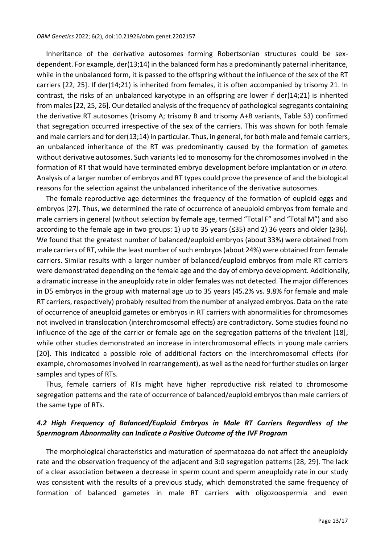Inheritance of the derivative autosomes forming Robertsonian structures could be sexdependent. For example, der(13;14) in the balanced form has a predominantly paternal inheritance, while in the unbalanced form, it is passed to the offspring without the influence of the sex of the RT carriers [22, 25]. If der(14;21) is inherited from females, it is often accompanied by trisomy 21. In contrast, the risks of an unbalanced karyotype in an offspring are lower if der(14;21) is inherited from males[22, 25, 26]. Our detailed analysis of the frequency of pathological segregants containing the derivative RT autosomes (trisomy A; trisomy B and trisomy A+B variants, Table S3) confirmed that segregation occurred irrespective of the sex of the carriers. This was shown for both female and male carriers and for der(13;14) in particular. Thus, in general, for both male and female carriers, an unbalanced inheritance of the RT was predominantly caused by the formation of gametes without derivative autosomes. Such variants led to monosomy for the chromosomes involved in the formation of RT that would have terminated embryo development before implantation or *in utero*. Analysis of a larger number of embryos and RT types could prove the presence of and the biological reasons for the selection against the unbalanced inheritance of the derivative autosomes.

The female reproductive age determines the frequency of the formation of euploid eggs and embryos [27]. Thus, we determined the rate of occurrence of aneuploid embryos from female and male carriers in general (without selection by female age, termed "Total F" and "Total M") and also according to the female age in two groups: 1) up to 35 years (≤35) and 2) 36 years and older (≥36). We found that the greatest number of balanced/euploid embryos (about 33%) were obtained from male carriers of RT, while the least number of such embryos(about 24%) were obtained from female carriers. Similar results with a larger number of balanced/euploid embryos from male RT carriers were demonstrated depending on the female age and the day of embryo development. Additionally, a dramatic increase in the aneuploidy rate in older females was not detected. The major differences in D5 embryos in the group with maternal age up to 35 years (45.2% vs. 9.8% for female and male RT carriers, respectively) probably resulted from the number of analyzed embryos. Data on the rate of occurrence of aneuploid gametes or embryos in RT carriers with abnormalities for chromosomes not involved in translocation (interchromosomal effects) are contradictory. Some studies found no influence of the age of the carrier or female age on the segregation patterns of the trivalent [18], while other studies demonstrated an increase in interchromosomal effects in young male carriers [20]. This indicated a possible role of additional factors on the interchromosomal effects (for example, chromosomes involved in rearrangement), as well as the need for further studies on larger samples and types of RTs.

Thus, female carriers of RTs might have higher reproductive risk related to chromosome segregation patterns and the rate of occurrence of balanced/euploid embryos than male carriers of the same type of RTs.

## *4.2 High Frequency of Balanced/Euploid Embryos in Male RT Carriers Regardless of the Spermogram Abnormality can Indicate a Positive Outcome of the IVF Program*

The morphological characteristics and maturation of spermatozoa do not affect the aneuploidy rate and the observation frequency of the adjacent and 3:0 segregation patterns [28, 29]. The lack of a clear association between a decrease in sperm count and sperm aneuploidy rate in our study was consistent with the results of a previous study, which demonstrated the same frequency of formation of balanced gametes in male RT carriers with oligozoospermia and even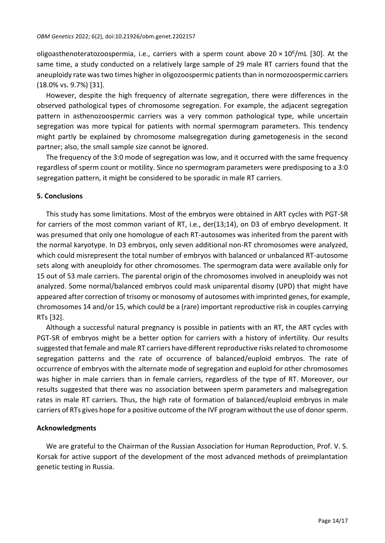oligoasthenoteratozoospermia, i.e., carriers with a sperm count above 20 x 10<sup>6</sup>/mL [30]. At the same time, a study conducted on a relatively large sample of 29 male RT carriers found that the aneuploidy rate was two times higher in oligozoospermic patients than in normozoospermic carriers (18.0% vs. 9.7%) [31].

However, despite the high frequency of alternate segregation, there were differences in the observed pathological types of chromosome segregation. For example, the adjacent segregation pattern in asthenozoospermic carriers was a very common pathological type, while uncertain segregation was more typical for patients with normal spermogram parameters. This tendency might partly be explained by chromosome malsegregation during gametogenesis in the second partner; also, the small sample size cannot be ignored.

The frequency of the 3:0 mode of segregation was low, and it occurred with the same frequency regardless of sperm count or motility. Since no spermogram parameters were predisposing to a 3:0 segregation pattern, it might be considered to be sporadic in male RT carriers.

#### **5. Conclusions**

This study has some limitations. Most of the embryos were obtained in ART cycles with PGT-SR for carriers of the most common variant of RT, i.e., der(13;14), on D3 of embryo development. It was presumed that only one homologue of each RT-autosomes was inherited from the parent with the normal karyotype. In D3 embryos, only seven additional non-RT chromosomes were analyzed, which could misrepresent the total number of embryos with balanced or unbalanced RT-autosome sets along with aneuploidy for other chromosomes. The spermogram data were available only for 15 out of 53 male carriers. The parental origin of the chromosomes involved in aneuploidy was not analyzed. Some normal/balanced embryos could mask uniparental disomy (UPD) that might have appeared after correction of trisomy or monosomy of autosomes with imprinted genes, for example, chromosomes 14 and/or 15, which could be a (rare) important reproductive risk in couples carrying RTs [32].

Although a successful natural pregnancy is possible in patients with an RT, the ART cycles with PGT-SR of embryos might be a better option for carriers with a history of infertility. Our results suggested that female and male RT carriers have different reproductive risks related to chromosome segregation patterns and the rate of occurrence of balanced/euploid embryos. The rate of occurrence of embryos with the alternate mode of segregation and euploid for other chromosomes was higher in male carriers than in female carriers, regardless of the type of RT. Moreover, our results suggested that there was no association between sperm parameters and malsegregation rates in male RT carriers. Thus, the high rate of formation of balanced/euploid embryos in male carriers of RTs gives hope for a positive outcome of the IVF program without the use of donor sperm.

## **Acknowledgments**

We are grateful to the Chairman of the Russian Association for Human Reproduction, Prof. V. S. Korsak for active support of the development of the most advanced methods of preimplantation genetic testing in Russia.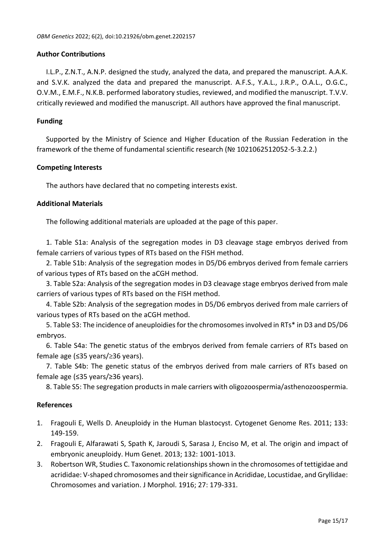#### **Author Contributions**

I.L.P., Z.N.T., A.N.P. designed the study, analyzed the data, and prepared the manuscript. A.A.K. and S.V.K. analyzed the data and prepared the manuscript. A.F.S., Y.A.L., J.R.P., O.A.L., O.G.C., O.V.М., E.M.F., N.K.B. performed laboratory studies, reviewed, and modified the manuscript. T.V.V. critically reviewed and modified the manuscript. All authors have approved the final manuscript.

#### **Funding**

Supported by the Ministry of Science and Higher Education of the Russian Federation in the framework of the theme of fundamental scientific research (№ 1021062512052-5-3.2.2.)

#### **Competing Interests**

The authors have declared that no competing interests exist.

#### **Additional Materials**

The following additional materials are uploaded at the page of this paper.

1. Table S1a: Analysis of the segregation modes in D3 cleavage stage embryos derived from female carriers of various types of RTs based on the FISH method.

2. Table S1b: Analysis of the segregation modes in D5/D6 embryos derived from female carriers of various types of RTs based on the aCGH method.

3. Table S2a: Analysis of the segregation modes in D3 cleavage stage embryos derived from male carriers of various types of RTs based on the FISH method.

4. Table S2b: Analysis of the segregation modes in D5/D6 embryos derived from male carriers of various types of RTs based on the aCGH method.

5. Table S3: The incidence of aneuploidies for the chromosomes involved in RTs\* in D3 and D5/D6 embryos.

6. Table S4a: The genetic status of the embryos derived from female carriers of RTs based on female age (≤35 years/≥36 years).

7. Table S4b: The genetic status of the embryos derived from male carriers of RTs based on female age (≤35 years/≥36 years).

8. Table S5: The segregation products in male carriers with oligozoospermia/asthenozoospermia.

#### **References**

- 1. Fragouli E, Wells D. Aneuploidy in the Human blastocyst. Cytogenet Genome Res. 2011; 133: 149-159.
- 2. Fragouli E, Alfarawati S, Spath K, Jaroudi S, Sarasa J, Enciso M, et al. The origin and impact of embryonic aneuploidy. Hum Genet. 2013; 132: 1001-1013.
- 3. Robertson WR, Studies C. Taxonomic relationships shown in the chromosomes of tettigidae and acrididae: V‐shaped chromosomes and their significance in Acrididae, Locustidae, and Gryllidae: Chromosomes and variation. J Morphol. 1916; 27: 179-331.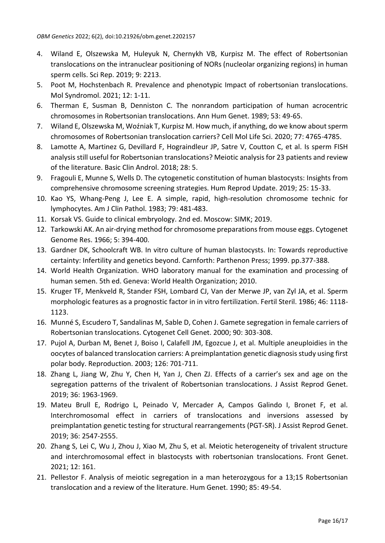- 4. Wiland E, Olszewska M, Huleyuk N, Chernykh VB, Kurpisz M. The effect of Robertsonian translocations on the intranuclear positioning of NORs (nucleolar organizing regions) in human sperm cells. Sci Rep. 2019; 9: 2213.
- 5. Poot M, Hochstenbach R. Prevalence and phenotypic Impact of robertsonian translocations. Mol Syndromol. 2021; 12: 1-11.
- 6. Therman E, Susman B, Denniston C. The nonrandom participation of human acrocentric chromosomes in Robertsonian translocations. Ann Hum Genet. 1989; 53: 49-65.
- 7. Wiland E, Olszewska M, Woźniak T, Kurpisz M. How much, if anything, do we know about sperm chromosomes of Robertsonian translocation carriers? Cell Mol Life Sci. 2020; 77: 4765-4785.
- 8. Lamotte A, Martinez G, Devillard F, Hograindleur JP, Satre V, Coutton C, et al. Is sperm FISH analysis still useful for Robertsonian translocations? Meiotic analysis for 23 patients and review of the literature. Basic Clin Androl. 2018; 28: 5.
- 9. Fragouli E, Munne S, Wells D. The cytogenetic constitution of human blastocysts: Insights from comprehensive chromosome screening strategies. Hum Reprod Update. 2019; 25: 15-33.
- 10. Kao YS, Whang-Peng J, Lee E. A simple, rapid, high-resolution chromosome technic for lymphocytes. Am J Clin Pathol. 1983; 79: 481-483.
- 11. Korsak VS. Guide to clinical embryology. 2nd ed. Moscow: SIMK; 2019.
- 12. Tarkowski AK. An air-drying method for chromosome preparations from mouse eggs. Cytogenet Genome Res. 1966; 5: 394-400.
- 13. Gardner DK, Schoolcraft WB. In vitro culture of human blastocysts. In: Towards reproductive certainty: Infertility and genetics beyond. Carnforth: Parthenon Press; 1999. pp.377-388.
- 14. World Health Organization. WHO laboratory manual for the examination and processing of human semen. 5th ed. Geneva: World Health Organization; 2010.
- 15. Kruger TF, Menkveld R, Stander FSH, Lombard CJ, Van der Merwe JP, van Zyl JA, et al. Sperm morphologic features as a prognostic factor in in vitro fertilization. Fertil Steril. 1986; 46: 1118- 1123.
- 16. Munné S, Escudero T, Sandalinas M, Sable D, Cohen J. Gamete segregation in female carriers of Robertsonian translocations. Cytogenet Cell Genet. 2000; 90: 303-308.
- 17. Pujol A, Durban M, Benet J, Boiso I, Calafell JM, Egozcue J, et al. Multiple aneuploidies in the oocytes of balanced translocation carriers: A preimplantation genetic diagnosis study using first polar body. Reproduction. 2003; 126: 701-711.
- 18. Zhang L, Jiang W, Zhu Y, Chen H, Yan J, Chen ZJ. Effects of a carrier's sex and age on the segregation patterns of the trivalent of Robertsonian translocations. J Assist Reprod Genet. 2019; 36: 1963-1969.
- 19. Mateu Brull E, Rodrigo L, Peinado V, Mercader A, Campos Galindo I, Bronet F, et al. Interchromosomal effect in carriers of translocations and inversions assessed by preimplantation genetic testing for structural rearrangements (PGT-SR). J Assist Reprod Genet. 2019; 36: 2547-2555.
- 20. Zhang S, Lei C, Wu J, Zhou J, Xiao M, Zhu S, et al. Meiotic heterogeneity of trivalent structure and interchromosomal effect in blastocysts with robertsonian translocations. Front Genet. 2021; 12: 161.
- 21. Pellestor F. Analysis of meiotic segregation in a man heterozygous for a 13;15 Robertsonian translocation and a review of the literature. Hum Genet. 1990; 85: 49-54.